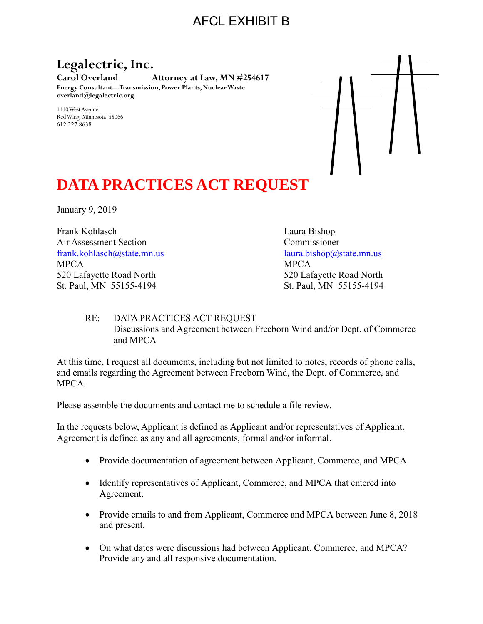# AFCL EXHIBIT B

### **Legalectric, Inc.**

**Carol Overland Attorney at Law, MN #254617 Energy Consultant—Transmission, Power Plants, Nuclear Waste overland@legalectric.org**

1110 West Avenue Red Wing, Minnesota 55066 612.227.8638



# **DATA PRACTICES ACT REQUEST**

January 9, 2019

Frank Kohlasch Laura Bishop Air Assessment Section Commissioner [frank.kohlasch@state.mn.us](mailto:frank.kolasch@state.mn.us) [laura.bishop@state.mn.us](mailto:laura.bishop@state.mn.us) MPCA MPCA 520 Lafayette Road North 520 Lafayette Road North St. Paul, MN 55155-4194 St. Paul, MN 55155-4194

#### RE: DATA PRACTICES ACT REQUEST Discussions and Agreement between Freeborn Wind and/or Dept. of Commerce and MPCA

At this time, I request all documents, including but not limited to notes, records of phone calls, and emails regarding the Agreement between Freeborn Wind, the Dept. of Commerce, and MPCA.

Please assemble the documents and contact me to schedule a file review.

In the requests below, Applicant is defined as Applicant and/or representatives of Applicant. Agreement is defined as any and all agreements, formal and/or informal.

- Provide documentation of agreement between Applicant, Commerce, and MPCA.
- Identify representatives of Applicant, Commerce, and MPCA that entered into Agreement.
- Provide emails to and from Applicant, Commerce and MPCA between June 8, 2018 and present.
- On what dates were discussions had between Applicant, Commerce, and MPCA? Provide any and all responsive documentation.